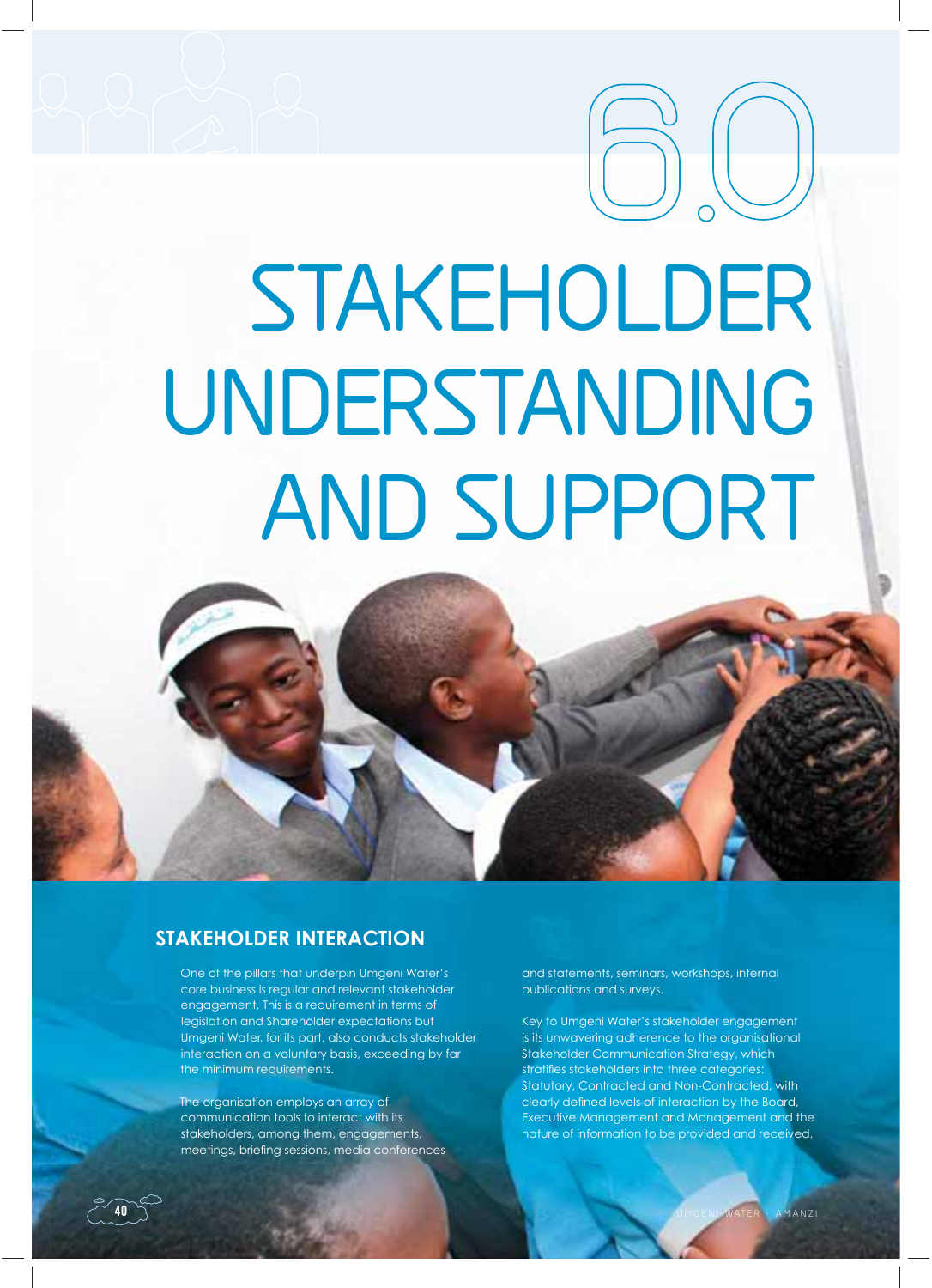# **STAKEHOLDER UNDERSTANDING AND SUPPORT 6.O**



# **STAKEHOLDER INTERACTION**

One of the pillars that underpin Umgeni Water's core business is regular and relevant stakeholder engagement. This is a requirement in terms of legislation and Shareholder expectations but Umgeni Water, for its part, also conducts stakeholder interaction on a voluntary basis, exceeding by far the minimum requirements.

The organisation employs an array of communication tools to interact with its stakeholders, among them, engagements, meetings, briefing sessions, media conferences and statements, seminars, workshops, internal publications and surveys.

Key to Umgeni Water's stakeholder engagement is its unwavering adherence to the organisational Stakeholder Communication Strategy, which stratifies stakeholders into three categories: Statutory, Contracted and Non-Contracted, with clearly defined levels of interaction by the Board, Executive Management and Management and the nature of information to be provided and received.

40

**40**  $\rightarrow$  UM GENI WATER • AMANZI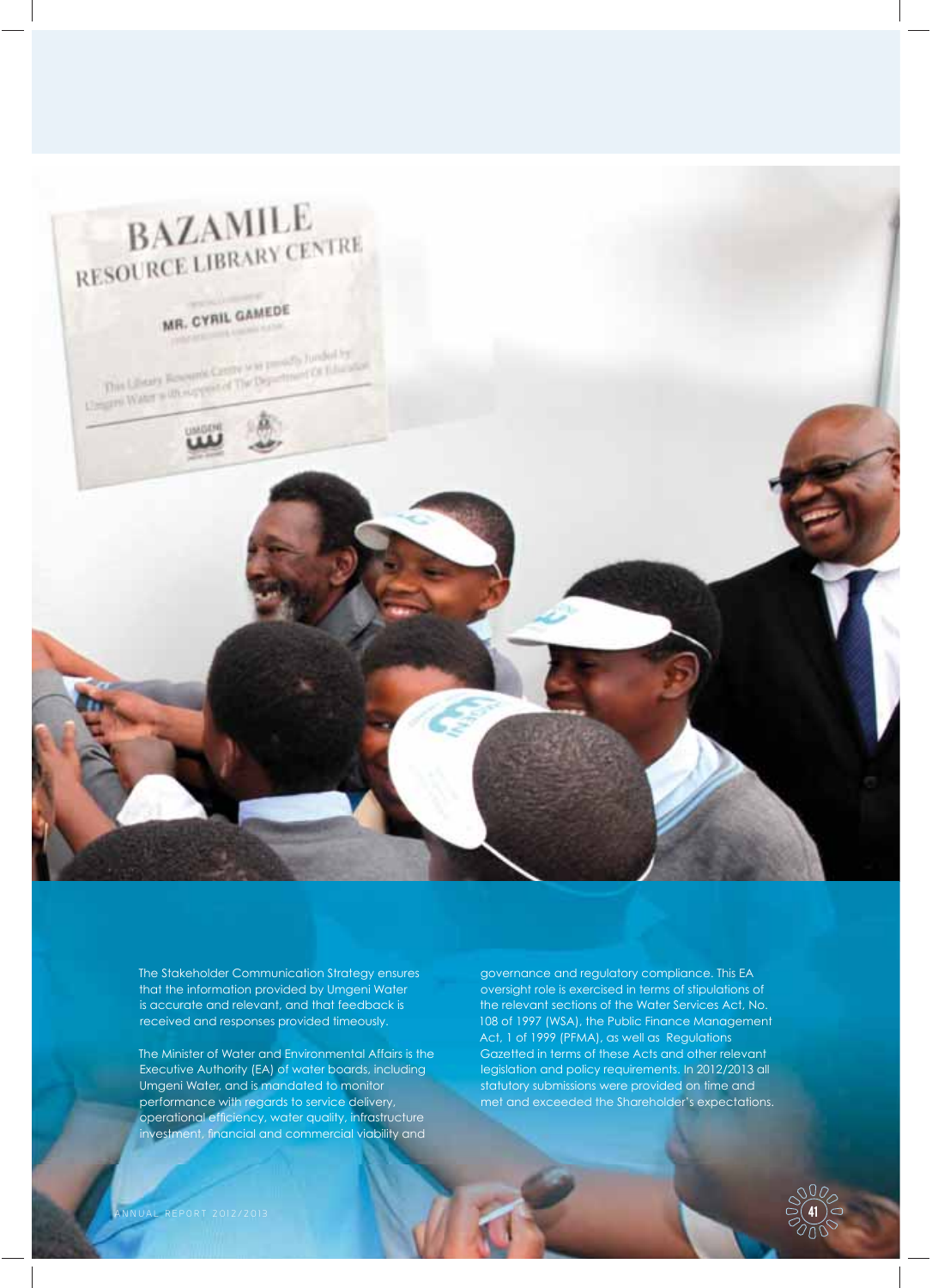

The Stakeholder Communication Strategy ensures that the information provided by Umgeni Water is accurate and relevant, and that feedback is received and responses provided timeously.

The Minister of Water and Environmental Affairs is the Executive Authority (EA) of water boards, including Umgeni Water, and is mandated to monitor performance with regards to service delivery, operational efficiency, water quality, infrastructure investment, financial and commercial viability and

governance and regulatory compliance. This EA oversight role is exercised in terms of stipulations of the relevant sections of the Water Services Act, No. 108 of 1997 (WSA), the Public Finance Management Act, 1 of 1999 (PFMA), as well as Regulations Gazetted in terms of these Acts and other relevant legislation and policy requirements. In 2012/2013 all statutory submissions were provided on time and met and exceeded the Shareholder's expectations.

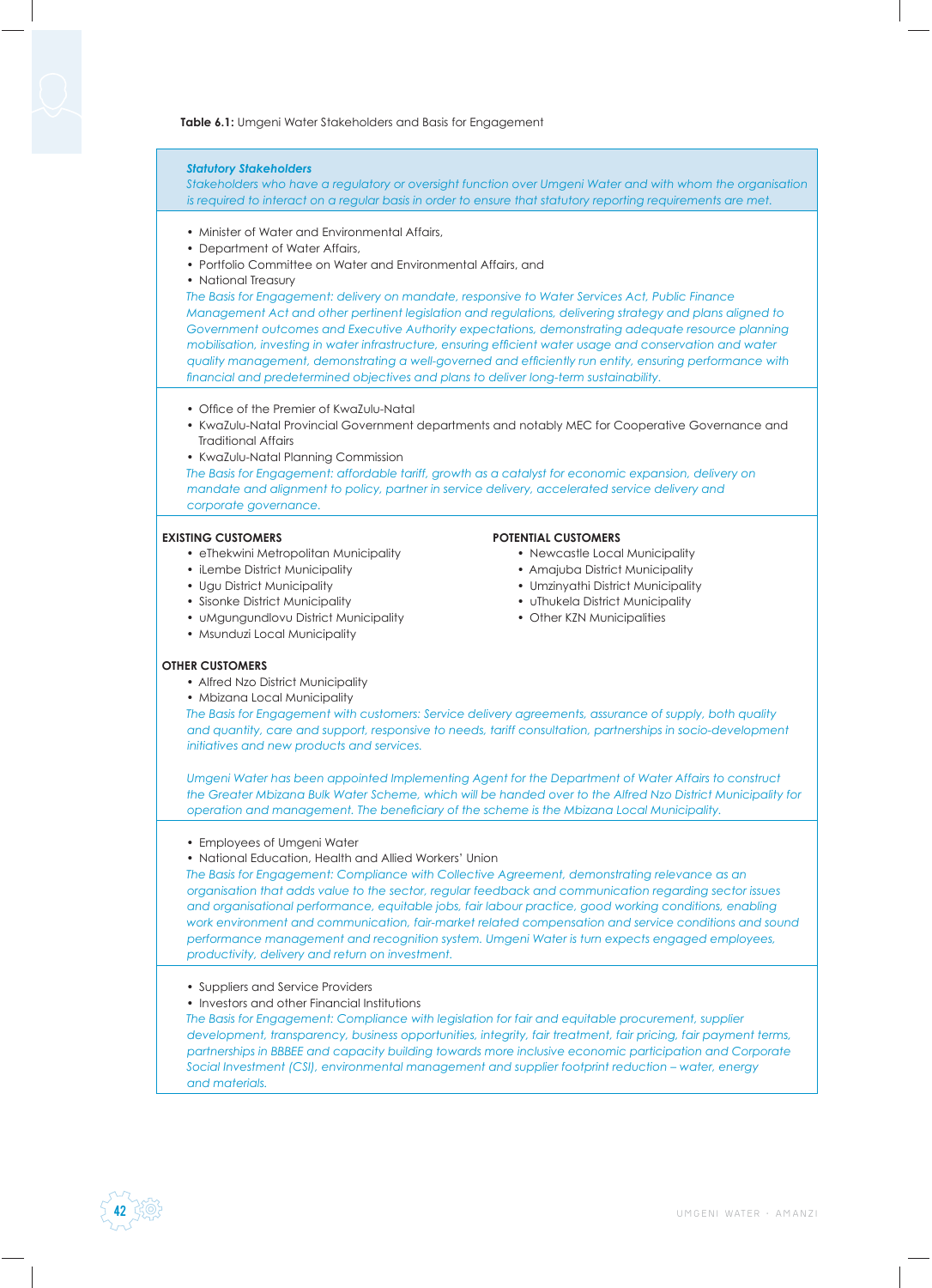### **Table 6.1:** Umgeni Water Stakeholders and Basis for Engagement

# *Statutory Stakeholders Stakeholders who have a regulatory or oversight function over Umgeni Water and with whom the organisation is required to interact on a regular basis in order to ensure that statutory reporting requirements are met.* • Minister of Water and Environmental Affairs, • Department of Water Affairs • Portfolio Committee on Water and Environmental Affairs, and • National Treasury *The Basis for Engagement: delivery on mandate, responsive to Water Services Act, Public Finance Management Act and other pertinent legislation and regulations, delivering strategy and plans aligned to Government outcomes and Executive Authority expectations, demonstrating adequate resource planning mobilisation, investing in water infrastructure, ensuring efficient water usage and conservation and water quality management, demonstrating a well-governed and efficiently run entity, ensuring performance with* financial and predetermined objectives and plans to deliver long-term sustainability. • Office of the Premier of KwaZulu-Natal • KwaZulu-Natal Provincial Government departments and notably MEC for Cooperative Governance and Traditional Affairs • KwaZulu-Natal Planning Commission *The Basis for Engagement: affordable tariff, growth as a catalyst for economic expansion, delivery on mandate and alignment to policy, partner in service delivery, accelerated service delivery and corporate governance.* **EXISTING CUSTOMERS** • eThekwini Metropolitan Municipality • iLembe District Municipality • Ugu District Municipality • Sisonke District Municipality • uMgungundlovu District Municipality • Msunduzi Local Municipality **POTENTIAL CUSTOMERS** • Newcastle Local Municipality • Amajuba District Municipality • Umzinyathi District Municipality • uThukela District Municipality • Other KZN Municipalities **OTHER CUSTOMERS** • Alfred Nzo District Municipality • Mbizana Local Municipality *The Basis for Engagement with customers: Service delivery agreements, assurance of supply, both quality and quantity, care and support, responsive to needs, tariff consultation, partnerships in socio-development initiatives and new products and services. Umgeni Water has been appointed Implementing Agent for the Department of Water Affairs to construct the Greater Mbizana Bulk Water Scheme, which will be handed over to the Alfred Nzo District Municipality for operation and management. The beneficiary of the scheme is the Mbizana Local Municipality.* • Employees of Umgeni Water • National Education, Health and Allied Workers' Union *The Basis for Engagement: Compliance with Collective Agreement, demonstrating relevance as an organisation that adds value to the sector, regular feedback and communication regarding sector issues and organisational performance, equitable jobs, fair labour practice, good working conditions, enabling work environment and communication, fair-market related compensation and service conditions and sound performance management and recognition system. Umgeni Water is turn expects engaged employees, productivity, delivery and return on investment.* • Suppliers and Service Providers • Investors and other Financial Institutions

*The Basis for Engagement: Compliance with legislation for fair and equitable procurement, supplier development, transparency, business opportunities, integrity, fair treatment, fair pricing, fair payment terms, partnerships in BBBEE and capacity building towards more inclusive economic participation and Corporate Social Investment (CSI), environmental management and supplier footprint reduction – water, energy and materials.*

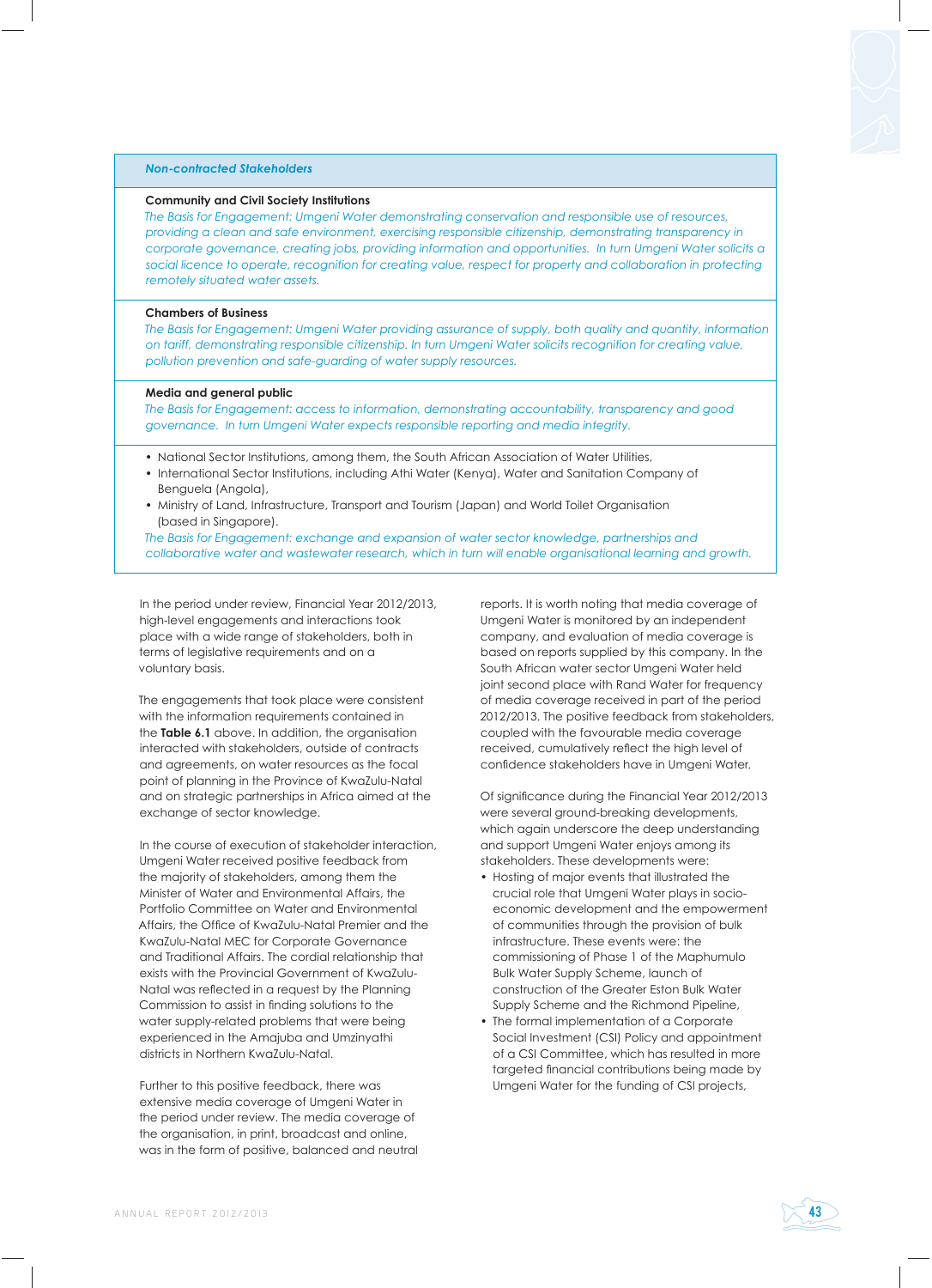#### *Non-contracted Stakeholders*

#### **Community and Civil Society Institutions**

*The Basis for Engagement: Umgeni Water demonstrating conservation and responsible use of resources, providing a clean and safe environment, exercising responsible citizenship, demonstrating transparency in corporate governance, creating jobs, providing information and opportunities. In turn Umgeni Water solicits a*  social licence to operate, recognition for creating value, respect for property and collaboration in protecting *remotely situated water assets.*

## **Chambers of Business**

*The Basis for Engagement: Umgeni Water providing assurance of supply, both quality and quantity, information on tariff, demonstrating responsible citizenship. In turn Umgeni Water solicits recognition for creating value, pollution prevention and safe-guarding of water supply resources.*

#### **Media and general public**

*The Basis for Engagement: access to information, demonstrating accountability, transparency and good governance. In turn Umgeni Water expects responsible reporting and media integrity.*

- National Sector Institutions, among them, the South African Association of Water Utilities,
- International Sector Institutions, including Athi Water (Kenya), Water and Sanitation Company of Benguela (Angola),
- Ministry of Land, Infrastructure, Transport and Tourism (Japan) and World Toilet Organisation (based in Singapore).

*The Basis for Engagement: exchange and expansion of water sector knowledge, partnerships and collaborative water and wastewater research, which in turn will enable organisational learning and growth.*

In the period under review, Financial Year 2012/2013, high-level engagements and interactions took place with a wide range of stakeholders, both in terms of legislative requirements and on a voluntary basis.

The engagements that took place were consistent with the information requirements contained in the **Table 6.1** above. In addition, the organisation interacted with stakeholders, outside of contracts and agreements, on water resources as the focal point of planning in the Province of KwaZulu-Natal and on strategic partnerships in Africa aimed at the exchange of sector knowledge.

In the course of execution of stakeholder interaction, Umgeni Water received positive feedback from the majority of stakeholders, among them the Minister of Water and Environmental Affairs, the Portfolio Committee on Water and Environmental Affairs, the Office of KwaZulu-Natal Premier and the KwaZulu-Natal MEC for Corporate Governance and Traditional Affairs. The cordial relationship that exists with the Provincial Government of KwaZulu-Natal was reflected in a request by the Planning Commission to assist in finding solutions to the water supply-related problems that were being experienced in the Amajuba and Umzinyathi districts in Northern KwaZulu-Natal.

Further to this positive feedback, there was extensive media coverage of Umgeni Water in the period under review. The media coverage of the organisation, in print, broadcast and online, was in the form of positive, balanced and neutral reports. It is worth noting that media coverage of Umgeni Water is monitored by an independent company, and evaluation of media coverage is based on reports supplied by this company. In the South African water sector Umgeni Water held joint second place with Rand Water for frequency of media coverage received in part of the period 2012/2013. The positive feedback from stakeholders, coupled with the favourable media coverage received, cumulatively reflect the high level of confidence stakeholders have in Umgeni Water.

Of significance during the Financial Year 2012/2013 were several ground-breaking developments, which again underscore the deep understanding and support Umgeni Water enjoys among its stakeholders. These developments were:

- Hosting of major events that illustrated the crucial role that Umgeni Water plays in socioeconomic development and the empowerment of communities through the provision of bulk infrastructure. These events were: the commissioning of Phase 1 of the Maphumulo Bulk Water Supply Scheme, launch of construction of the Greater Eston Bulk Water Supply Scheme and the Richmond Pipeline,
- The formal implementation of a Corporate Social Investment (CSI) Policy and appointment of a CSI Committee, which has resulted in more targeted financial contributions being made by Umgeni Water for the funding of CSI projects,

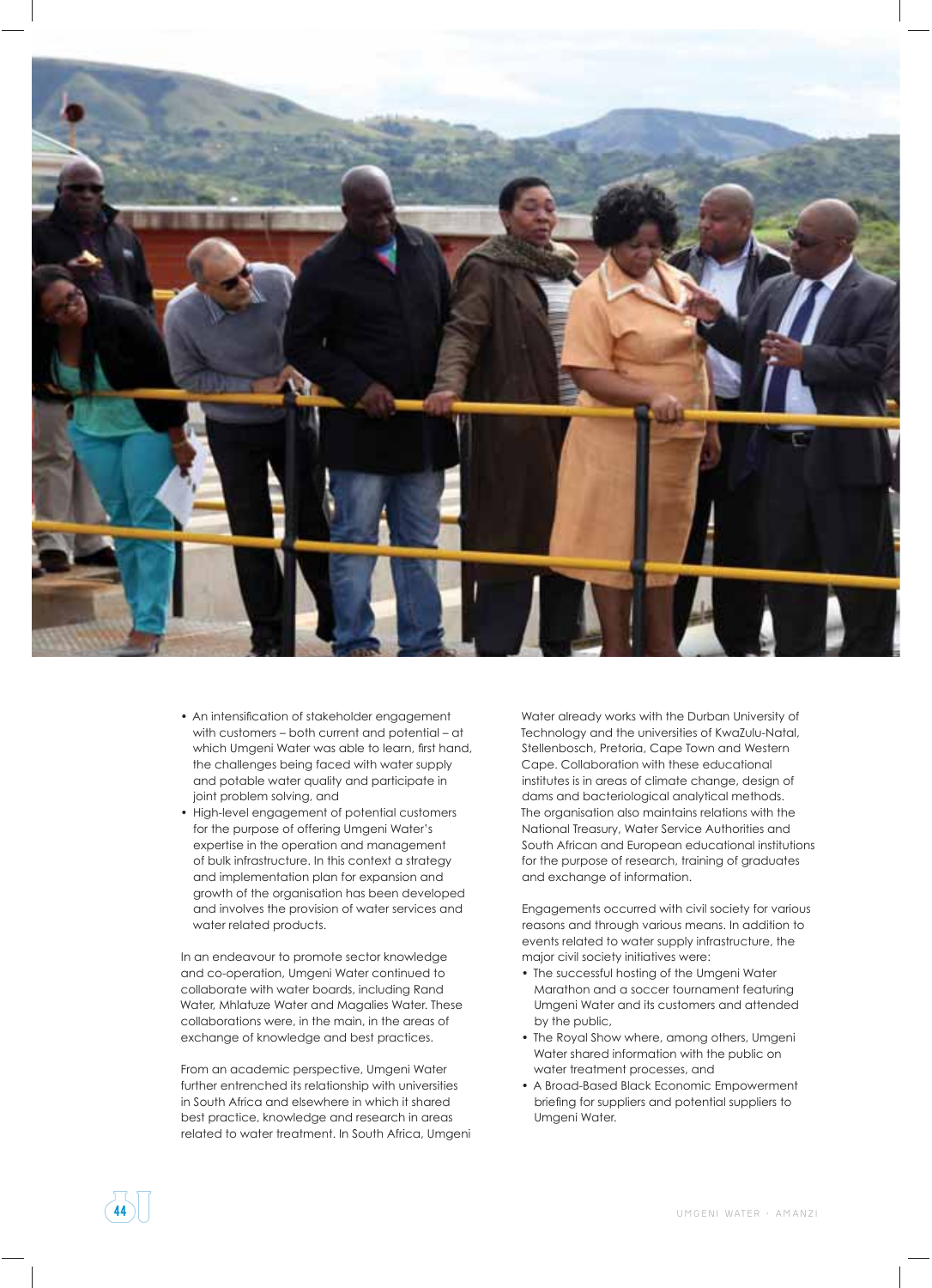

- An intensification of stakeholder engagement with customers – both current and potential – at which Umgeni Water was able to learn, first hand, the challenges being faced with water supply and potable water quality and participate in joint problem solving, and
- High-level engagement of potential customers for the purpose of offering Umgeni Water's expertise in the operation and management of bulk infrastructure. In this context a strategy and implementation plan for expansion and growth of the organisation has been developed and involves the provision of water services and water related products.

In an endeavour to promote sector knowledge and co-operation, Umgeni Water continued to collaborate with water boards, including Rand Water, Mhlatuze Water and Magalies Water. These collaborations were, in the main, in the areas of exchange of knowledge and best practices.

From an academic perspective, Umgeni Water further entrenched its relationship with universities in South Africa and elsewhere in which it shared best practice, knowledge and research in areas related to water treatment. In South Africa, Umgeni Water already works with the Durban University of Technology and the universities of KwaZulu-Natal, Stellenbosch, Pretoria, Cape Town and Western Cape. Collaboration with these educational institutes is in areas of climate change, design of dams and bacteriological analytical methods. The organisation also maintains relations with the National Treasury, Water Service Authorities and South African and European educational institutions for the purpose of research, training of graduates and exchange of information.

Engagements occurred with civil society for various reasons and through various means. In addition to events related to water supply infrastructure, the major civil society initiatives were:

- The successful hosting of the Umgeni Water Marathon and a soccer tournament featuring Umgeni Water and its customers and attended by the public,
- The Royal Show where, among others, Umgeni Water shared information with the public on water treatment processes, and
- A Broad-Based Black Economic Empowerment briefing for suppliers and potential suppliers to Umgeni Water.